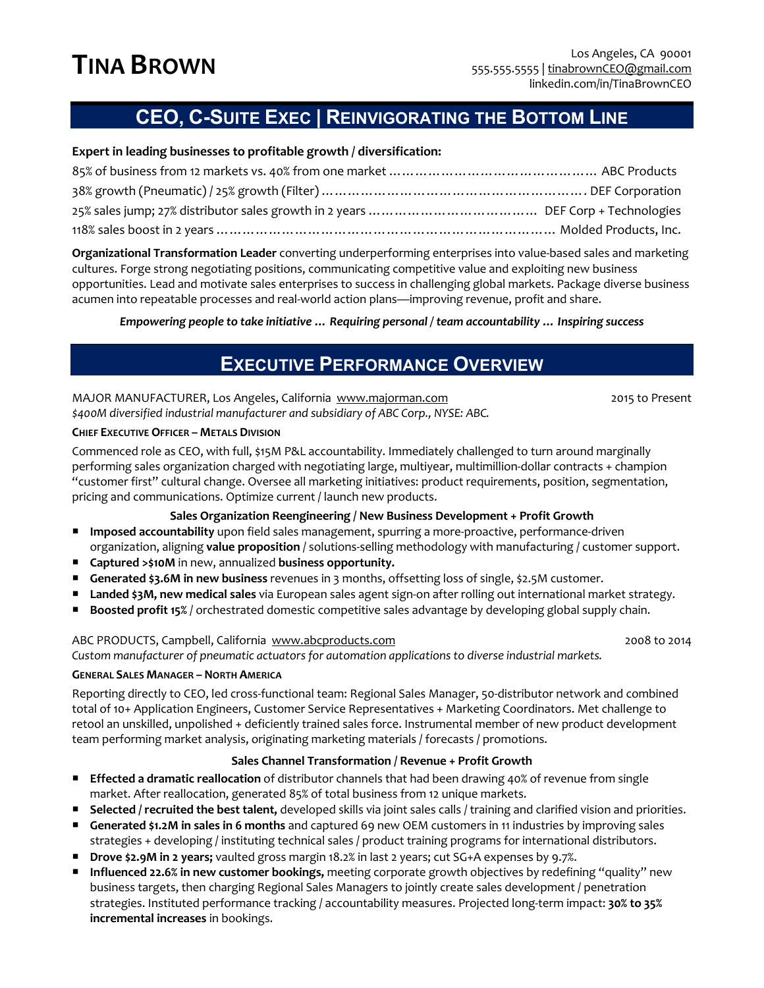# **CEO, C-SUITE EXEC | REINVIGORATING THE BOTTOM LINE**

### **Expert in leading businesses to profitable growth / diversification:**

**Organizational Transformation Leader** converting underperforming enterprises into value-based sales and marketing cultures. Forge strong negotiating positions, communicating competitive value and exploiting new business opportunities. Lead and motivate sales enterprises to success in challenging global markets. Package diverse business acumen into repeatable processes and real-world action plans—improving revenue, profit and share.

*Empowering people to take initiative … Requiring personal / team accountability … Inspiring success*

## **EXECUTIVE PERFORMANCE OVERVIEW**

MAJOR MANUFACTURER, Los Angeles, California www.majorman.com 2015 to Present *\$400M diversified industrial manufacturer and subsidiary of ABC Corp., NYSE: ABC.*

#### **CHIEF EXECUTIVE OFFICER – METALS DIVISION**

Commenced role as CEO, with full, \$15M P&L accountability. Immediately challenged to turn around marginally performing sales organization charged with negotiating large, multiyear, multimillion-dollar contracts + champion "customer first" cultural change. Oversee all marketing initiatives: product requirements, position, segmentation, pricing and communications. Optimize current / launch new products.

#### **Sales Organization Reengineering / New Business Development + Profit Growth**

- ¡ **Imposed accountability** upon field sales management, spurring a more-proactive, performance-driven organization, aligning **value proposition** / solutions-selling methodology with manufacturing / customer support.
- ¡ **Captured >\$10M** in new, annualized **business opportunity.**
- **Generated \$3.6M in new business** revenues in 3 months, offsetting loss of single, \$2.5M customer.
- ¡ **Landed \$3M, new medical sales** via European sales agent sign-on after rolling out international market strategy.
- Boosted profit 15% / orchestrated domestic competitive sales advantage by developing global supply chain.

#### ABC PRODUCTS, Campbell, California www.abcproducts.com 2008 to 2014

*Custom manufacturer of pneumatic actuators for automation applications to diverse industrial markets.*

#### **GENERAL SALES MANAGER – NORTH AMERICA**

Reporting directly to CEO, led cross-functional team: Regional Sales Manager, 50-distributor network and combined total of 10+ Application Engineers, Customer Service Representatives + Marketing Coordinators. Met challenge to retool an unskilled, unpolished + deficiently trained sales force. Instrumental member of new product development team performing market analysis, originating marketing materials / forecasts / promotions.

#### **Sales Channel Transformation / Revenue + Profit Growth**

- **Effected a dramatic reallocation** of distributor channels that had been drawing 40% of revenue from single market. After reallocation, generated 85% of total business from 12 unique markets.
- ¡ **Selected / recruited the best talent,** developed skills via joint sales calls / training and clarified vision and priorities.
- ¡ **Generated \$1.2M in sales in 6 months** and captured 69 new OEM customers in 11 industries by improving sales strategies + developing / instituting technical sales / product training programs for international distributors.
- ¡ **Drove \$2.9M in 2 years;** vaulted gross margin 18.2% in last 2 years; cut SG+A expenses by 9.7%.
- ¡ **Influenced 22.6% in new customer bookings,** meeting corporate growth objectives by redefining "quality" new business targets, then charging Regional Sales Managers to jointly create sales development / penetration strategies. Instituted performance tracking / accountability measures. Projected long-term impact: **30% to 35% incremental increases** in bookings.